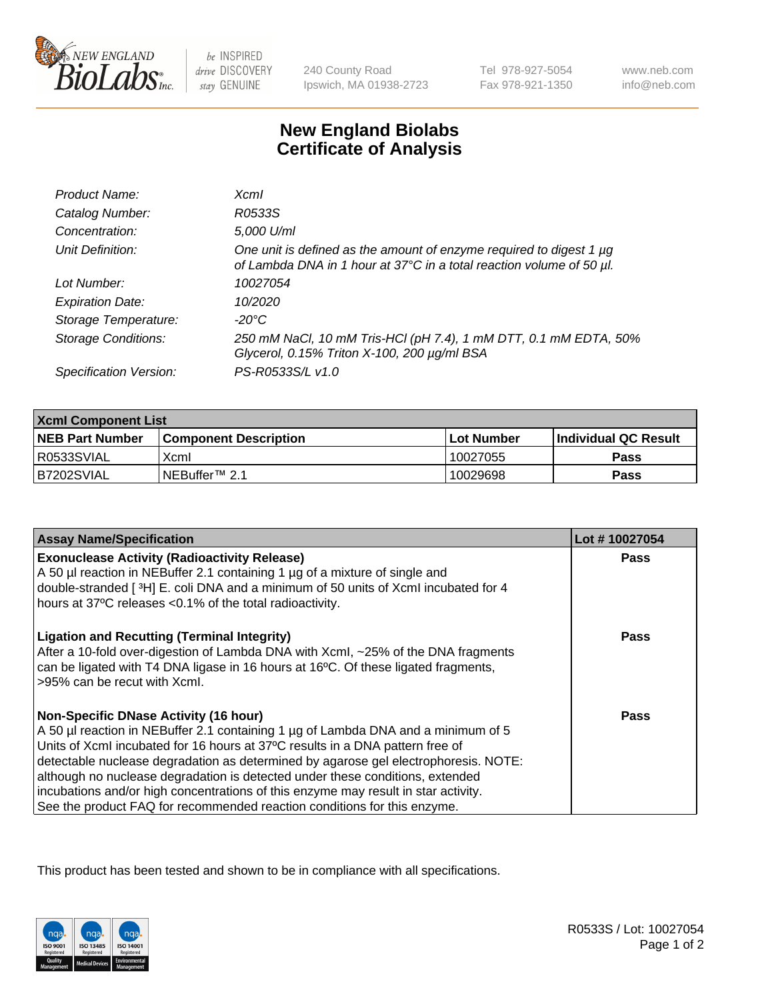

 $be$  INSPIRED drive DISCOVERY stay GENUINE

240 County Road Ipswich, MA 01938-2723 Tel 978-927-5054 Fax 978-921-1350

www.neb.com info@neb.com

## **New England Biolabs Certificate of Analysis**

| Product Name:           | Xcml                                                                                                                                             |
|-------------------------|--------------------------------------------------------------------------------------------------------------------------------------------------|
| Catalog Number:         | R0533S                                                                                                                                           |
| Concentration:          | 5,000 U/ml                                                                                                                                       |
| Unit Definition:        | One unit is defined as the amount of enzyme required to digest 1 $\mu$ g<br>of Lambda DNA in 1 hour at 37°C in a total reaction volume of 50 µl. |
| Lot Number:             | 10027054                                                                                                                                         |
| <b>Expiration Date:</b> | 10/2020                                                                                                                                          |
| Storage Temperature:    | -20°C                                                                                                                                            |
| Storage Conditions:     | 250 mM NaCl, 10 mM Tris-HCl (pH 7.4), 1 mM DTT, 0.1 mM EDTA, 50%<br>Glycerol, 0.15% Triton X-100, 200 µg/ml BSA                                  |
| Specification Version:  | PS-R0533S/L v1.0                                                                                                                                 |

| <b>Xcml Component List</b> |                              |                   |                       |  |
|----------------------------|------------------------------|-------------------|-----------------------|--|
| <b>NEB Part Number</b>     | <b>Component Description</b> | <b>Lot Number</b> | ∣Individual QC Result |  |
| R0533SVIAL                 | Xcml                         | 10027055          | <b>Pass</b>           |  |
| IB7202SVIAL                | NEBuffer <sup>™</sup> 2.1    | 10029698          | Pass                  |  |

| <b>Assay Name/Specification</b>                                                                                                                                                                                                                                                                                                                                                                                                                                                                                                                              | Lot #10027054 |
|--------------------------------------------------------------------------------------------------------------------------------------------------------------------------------------------------------------------------------------------------------------------------------------------------------------------------------------------------------------------------------------------------------------------------------------------------------------------------------------------------------------------------------------------------------------|---------------|
| <b>Exonuclease Activity (Radioactivity Release)</b><br>A 50 µl reaction in NEBuffer 2.1 containing 1 µg of a mixture of single and<br>double-stranded [3H] E. coli DNA and a minimum of 50 units of XcmI incubated for 4<br>hours at 37°C releases <0.1% of the total radioactivity.                                                                                                                                                                                                                                                                         | <b>Pass</b>   |
| <b>Ligation and Recutting (Terminal Integrity)</b><br>After a 10-fold over-digestion of Lambda DNA with Xcml, ~25% of the DNA fragments<br>can be ligated with T4 DNA ligase in 16 hours at 16°C. Of these ligated fragments,<br>>95% can be recut with Xcml.                                                                                                                                                                                                                                                                                                | Pass          |
| <b>Non-Specific DNase Activity (16 hour)</b><br>A 50 µl reaction in NEBuffer 2.1 containing 1 µg of Lambda DNA and a minimum of 5<br>Units of XcmI incubated for 16 hours at 37°C results in a DNA pattern free of<br>detectable nuclease degradation as determined by agarose gel electrophoresis. NOTE:<br>although no nuclease degradation is detected under these conditions, extended<br>incubations and/or high concentrations of this enzyme may result in star activity.<br>See the product FAQ for recommended reaction conditions for this enzyme. | Pass          |

This product has been tested and shown to be in compliance with all specifications.